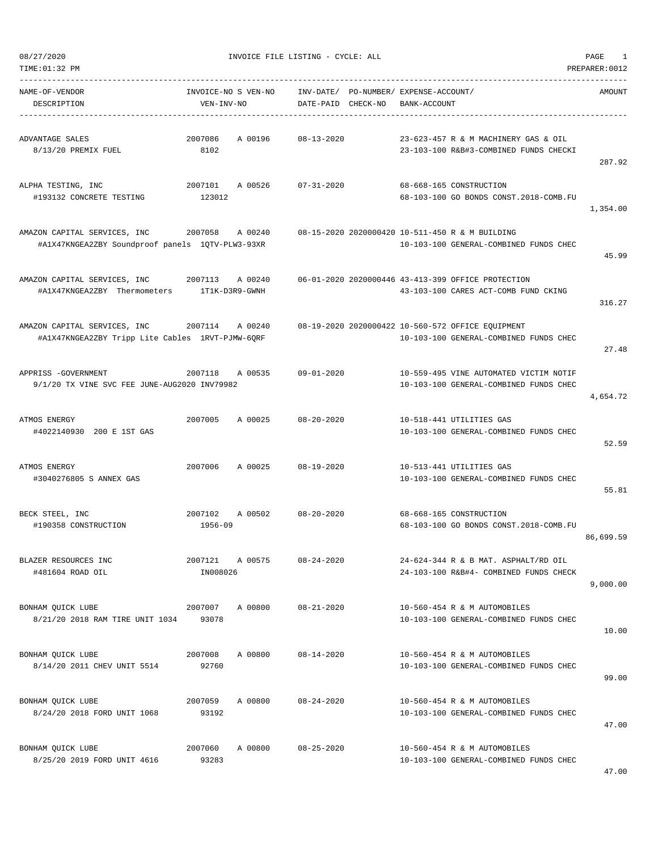| TIME:01:32 PM                                                                    |                                   |                                 |                             |                                                                                             | PREPARER: 0012 |
|----------------------------------------------------------------------------------|-----------------------------------|---------------------------------|-----------------------------|---------------------------------------------------------------------------------------------|----------------|
| NAME-OF-VENDOR<br>DESCRIPTION                                                    | INVOICE-NO S VEN-NO<br>VEN-INV-NO | INV-DATE/<br>DATE-PAID CHECK-NO | PO-NUMBER/ EXPENSE-ACCOUNT/ | BANK-ACCOUNT                                                                                | AMOUNT         |
| ADVANTAGE SALES<br>8/13/20 PREMIX FUEL                                           | 2007086<br>A 00196<br>8102        | 08-13-2020                      |                             | 23-623-457 R & M MACHINERY GAS & OIL<br>23-103-100 R&B#3-COMBINED FUNDS CHECKI              | 287.92         |
| ALPHA TESTING, INC<br>#193132 CONCRETE TESTING                                   | 2007101<br>A 00526<br>123012      | $07 - 31 - 2020$                |                             | 68-668-165 CONSTRUCTION<br>68-103-100 GO BONDS CONST.2018-COMB.FU                           | 1,354.00       |
| AMAZON CAPITAL SERVICES, INC<br>#A1X47KNGEA2ZBY Soundproof panels 1QTV-PLW3-93XR | 2007058<br>A 00240                |                                 |                             | 08-15-2020 2020000420 10-511-450 R & M BUILDING<br>10-103-100 GENERAL-COMBINED FUNDS CHEC   | 45.99          |
| AMAZON CAPITAL SERVICES, INC<br>#A1X47KNGEA2ZBY Thermometers                     | 2007113 A 00240<br>1T1K-D3R9-GWNH |                                 |                             | 06-01-2020 2020000446 43-413-399 OFFICE PROTECTION<br>43-103-100 CARES ACT-COMB FUND CKING  | 316.27         |
| AMAZON CAPITAL SERVICES, INC<br>#A1X47KNGEA2ZBY Tripp Lite Cables 1RVT-PJMW-6QRF | 2007114<br>A 00240                |                                 |                             | 08-19-2020 2020000422 10-560-572 OFFICE EQUIPMENT<br>10-103-100 GENERAL-COMBINED FUNDS CHEC | 27.48          |
| APPRISS -GOVERNMENT<br>9/1/20 TX VINE SVC FEE JUNE-AUG2020 INV79982              | 2007118<br>A 00535                | $09 - 01 - 2020$                |                             | 10-559-495 VINE AUTOMATED VICTIM NOTIF<br>10-103-100 GENERAL-COMBINED FUNDS CHEC            | 4,654.72       |
| ATMOS ENERGY<br>#4022140930 200 E 1ST GAS                                        | 2007005<br>A 00025                | $08 - 20 - 2020$                |                             | 10-518-441 UTILITIES GAS<br>10-103-100 GENERAL-COMBINED FUNDS CHEC                          | 52.59          |
| ATMOS ENERGY<br>#3040276805 S ANNEX GAS                                          | 2007006<br>A 00025                | $08 - 19 - 2020$                |                             | 10-513-441 UTILITIES GAS<br>10-103-100 GENERAL-COMBINED FUNDS CHEC                          | 55.81          |
| BECK STEEL, INC<br>#190358 CONSTRUCTION                                          | 2007102<br>A 00502<br>1956-09     | $08 - 20 - 2020$                |                             | 68-668-165 CONSTRUCTION<br>68-103-100 GO BONDS CONST. 2018-COMB.FU                          | 86,699.59      |
| BLAZER RESOURCES INC<br>#481604 ROAD OIL                                         | 2007121 A 00575<br>IN008026       | $08 - 24 - 2020$                |                             | 24-624-344 R & B MAT. ASPHALT/RD OIL<br>24-103-100 R&B#4- COMBINED FUNDS CHECK              | 9,000.00       |
| BONHAM QUICK LUBE<br>8/21/20 2018 RAM TIRE UNIT 1034 93078                       | 2007007 A 00800 08-21-2020        |                                 |                             | 10-560-454 R & M AUTOMOBILES<br>10-103-100 GENERAL-COMBINED FUNDS CHEC                      | 10.00          |
| BONHAM OUICK LUBE<br>8/14/20 2011 CHEV UNIT 5514                                 | A 00800<br>2007008<br>92760       | 08-14-2020                      |                             | 10-560-454 R & M AUTOMOBILES<br>10-103-100 GENERAL-COMBINED FUNDS CHEC                      | 99.00          |
| BONHAM QUICK LUBE<br>8/24/20 2018 FORD UNIT 1068                                 | 2007059<br>A 00800<br>93192       | $08 - 24 - 2020$                |                             | 10-560-454 R & M AUTOMOBILES<br>10-103-100 GENERAL-COMBINED FUNDS CHEC                      | 47.00          |
| BONHAM QUICK LUBE<br>8/25/20 2019 FORD UNIT 4616                                 | 2007060<br>A 00800<br>93283       | 08-25-2020                      |                             | 10-560-454 R & M AUTOMOBILES<br>10-103-100 GENERAL-COMBINED FUNDS CHEC                      |                |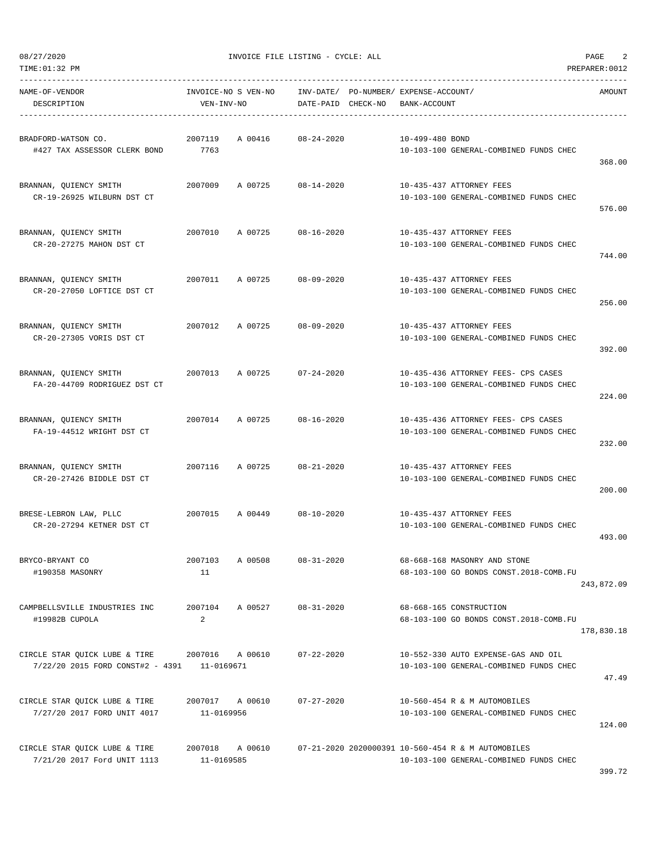| NAME-OF-VENDOR<br>DESCRIPTION                                                                           | VEN-INV-NO                    |         | INVOICE-NO S VEN-NO INV-DATE/ PO-NUMBER/ EXPENSE-ACCOUNT/<br>DATE-PAID CHECK-NO | BANK-ACCOUNT    |                                                                                                              | AMOUNT     |
|---------------------------------------------------------------------------------------------------------|-------------------------------|---------|---------------------------------------------------------------------------------|-----------------|--------------------------------------------------------------------------------------------------------------|------------|
| BRADFORD-WATSON CO.<br>#427 TAX ASSESSOR CLERK BOND 7763                                                | 2007119                       |         | A 00416 08-24-2020                                                              | 10-499-480 BOND | 10-103-100 GENERAL-COMBINED FUNDS CHEC                                                                       |            |
| BRANNAN, QUIENCY SMITH<br>CR-19-26925 WILBURN DST CT                                                    | 2007009 A 00725               |         | 08-14-2020                                                                      |                 | 10-435-437 ATTORNEY FEES<br>10-103-100 GENERAL-COMBINED FUNDS CHEC                                           | 368.00     |
| BRANNAN, OUIENCY SMITH<br>CR-20-27275 MAHON DST CT                                                      | 2007010                       |         | A 00725 08-16-2020                                                              |                 | 10-435-437 ATTORNEY FEES<br>10-103-100 GENERAL-COMBINED FUNDS CHEC                                           | 576.00     |
| BRANNAN, QUIENCY SMITH<br>CR-20-27050 LOFTICE DST CT                                                    |                               |         | 2007011 A 00725 08-09-2020                                                      |                 | 10-435-437 ATTORNEY FEES<br>10-103-100 GENERAL-COMBINED FUNDS CHEC                                           | 744.00     |
| BRANNAN, QUIENCY SMITH<br>CR-20-27305 VORIS DST CT                                                      |                               |         | 2007012 A 00725 08-09-2020                                                      |                 | 10-435-437 ATTORNEY FEES<br>10-103-100 GENERAL-COMBINED FUNDS CHEC                                           | 256.00     |
| BRANNAN, OUIENCY SMITH                                                                                  |                               |         | 2007013 A 00725 07-24-2020                                                      |                 | 10-435-436 ATTORNEY FEES- CPS CASES                                                                          | 392.00     |
| FA-20-44709 RODRIGUEZ DST CT<br>BRANNAN, QUIENCY SMITH                                                  |                               |         | 2007014 A 00725 08-16-2020                                                      |                 | 10-103-100 GENERAL-COMBINED FUNDS CHEC<br>10-435-436 ATTORNEY FEES- CPS CASES                                | 224.00     |
| FA-19-44512 WRIGHT DST CT<br>BRANNAN, QUIENCY SMITH                                                     | 2007116                       | A 00725 | 08-21-2020                                                                      |                 | 10-103-100 GENERAL-COMBINED FUNDS CHEC<br>10-435-437 ATTORNEY FEES                                           | 232.00     |
| CR-20-27426 BIDDLE DST CT                                                                               |                               |         |                                                                                 |                 | 10-103-100 GENERAL-COMBINED FUNDS CHEC                                                                       | 200.00     |
| BRESE-LEBRON LAW, PLLC<br>CR-20-27294 KETNER DST CT                                                     |                               |         | 2007015 A 00449 08-10-2020                                                      |                 | 10-435-437 ATTORNEY FEES<br>10-103-100 GENERAL-COMBINED FUNDS CHEC                                           | 493.00     |
| BRYCO-BRYANT CO<br>#190358 MASONRY                                                                      | 2007103<br>11                 | A 00508 | $08 - 31 - 2020$                                                                |                 | 68-668-168 MASONRY AND STONE<br>68-103-100 GO BONDS CONST. 2018-COMB. FU                                     | 243,872.09 |
| CAMPBELLSVILLE INDUSTRIES INC<br>#19982B CUPOLA                                                         | 2007104<br>2                  |         | A 00527 08-31-2020                                                              |                 | 68-668-165 CONSTRUCTION<br>68-103-100 GO BONDS CONST.2018-COMB.FU                                            | 178,830.18 |
| CIRCLE STAR OUICK LUBE & TIRE 2007016 A 00610 07-22-2020<br>7/22/20 2015 FORD CONST#2 - 4391 11-0169671 |                               |         |                                                                                 |                 | 10-552-330 AUTO EXPENSE-GAS AND OIL<br>10-103-100 GENERAL-COMBINED FUNDS CHEC                                | 47.49      |
| CIRCLE STAR QUICK LUBE & TIRE<br>7/27/20 2017 FORD UNIT 4017                                            | 2007017 A 00610<br>11-0169956 |         | $07 - 27 - 2020$                                                                |                 | 10-560-454 R & M AUTOMOBILES<br>10-103-100 GENERAL-COMBINED FUNDS CHEC                                       | 124.00     |
| CIRCLE STAR QUICK LUBE & TIRE<br>7/21/20 2017 Ford UNIT 1113                                            | 11-0169585                    |         |                                                                                 |                 | 2007018 A 00610 07-21-2020 2020000391 10-560-454 R & M AUTOMOBILES<br>10-103-100 GENERAL-COMBINED FUNDS CHEC | 399.72     |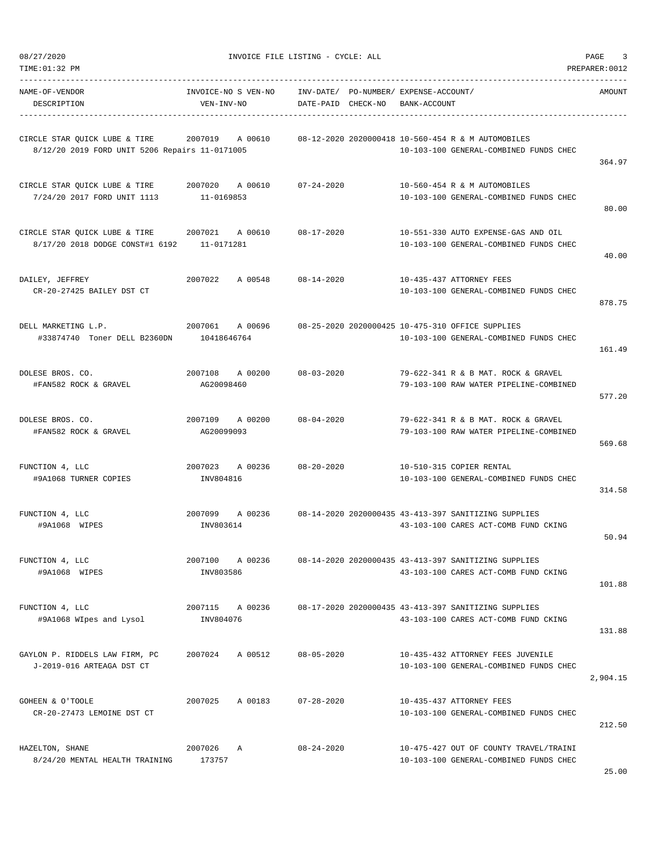| TIME: 01:32 PM                                                                      |                                   |                    |                                                                                              | PREPARER: 0012 |
|-------------------------------------------------------------------------------------|-----------------------------------|--------------------|----------------------------------------------------------------------------------------------|----------------|
| NAME-OF-VENDOR<br>DESCRIPTION                                                       | INVOICE-NO S VEN-NO<br>VEN-INV-NO | DATE-PAID CHECK-NO | INV-DATE/ PO-NUMBER/ EXPENSE-ACCOUNT/<br>BANK-ACCOUNT                                        | AMOUNT         |
| CIRCLE STAR QUICK LUBE & TIRE<br>8/12/20 2019 FORD UNIT 5206 Repairs 11-0171005     | 2007019<br>A 00610                |                    | 08-12-2020 2020000418 10-560-454 R & M AUTOMOBILES<br>10-103-100 GENERAL-COMBINED FUNDS CHEC | 364.97         |
| CIRCLE STAR OUICK LUBE & TIRE<br>7/24/20 2017 FORD UNIT 1113                        | 2007020 A 00610<br>11-0169853     | 07-24-2020         | 10-560-454 R & M AUTOMOBILES<br>10-103-100 GENERAL-COMBINED FUNDS CHEC                       | 80.00          |
| CIRCLE STAR QUICK LUBE & TIRE 2007021<br>8/17/20 2018 DODGE CONST#1 6192 11-0171281 | A 00610                           | $08 - 17 - 2020$   | 10-551-330 AUTO EXPENSE-GAS AND OIL<br>10-103-100 GENERAL-COMBINED FUNDS CHEC                | 40.00          |
| DAILEY, JEFFREY<br>CR-20-27425 BAILEY DST CT                                        | 2007022<br>A 00548                | $08 - 14 - 2020$   | 10-435-437 ATTORNEY FEES<br>10-103-100 GENERAL-COMBINED FUNDS CHEC                           | 878.75         |
| DELL MARKETING L.P.<br>#33874740 Toner DELL B2360DN                                 | 2007061 A 00696<br>10418646764    |                    | 08-25-2020 2020000425 10-475-310 OFFICE SUPPLIES<br>10-103-100 GENERAL-COMBINED FUNDS CHEC   | 161.49         |
| DOLESE BROS. CO.<br>#FAN582 ROCK & GRAVEL                                           | 2007108<br>A 00200<br>AG20098460  | $08 - 03 - 2020$   | 79-622-341 R & B MAT. ROCK & GRAVEL<br>79-103-100 RAW WATER PIPELINE-COMBINED                | 577.20         |
| DOLESE BROS. CO.<br>#FAN582 ROCK & GRAVEL                                           | 2007109<br>A 00200<br>AG20099093  | $08 - 04 - 2020$   | 79-622-341 R & B MAT. ROCK & GRAVEL<br>79-103-100 RAW WATER PIPELINE-COMBINED                | 569.68         |
| FUNCTION 4, LLC<br>#9A1068 TURNER COPIES                                            | 2007023 A 00236<br>INV804816      | $08 - 20 - 2020$   | 10-510-315 COPIER RENTAL<br>10-103-100 GENERAL-COMBINED FUNDS CHEC                           | 314.58         |
| FUNCTION 4, LLC<br>#9A1068 WIPES                                                    | A 00236<br>2007099<br>INV803614   |                    | 08-14-2020 2020000435 43-413-397 SANITIZING SUPPLIES<br>43-103-100 CARES ACT-COMB FUND CKING | 50.94          |
| FUNCTION 4, LLC<br>#9A1068 WIPES                                                    | 2007100<br>A 00236<br>INV803586   |                    | 08-14-2020 2020000435 43-413-397 SANITIZING SUPPLIES<br>43-103-100 CARES ACT-COMB FUND CKING | 101.88         |
| FUNCTION 4, LLC<br>#9A1068 WIpes and Lysol                                          | 2007115 A 00236<br>INV804076      |                    | 08-17-2020 2020000435 43-413-397 SANITIZING SUPPLIES<br>43-103-100 CARES ACT-COMB FUND CKING | 131.88         |
| GAYLON P. RIDDELS LAW FIRM, PC<br>J-2019-016 ARTEAGA DST CT                         | 2007024 A 00512                   | $08 - 05 - 2020$   | 10-435-432 ATTORNEY FEES JUVENILE<br>10-103-100 GENERAL-COMBINED FUNDS CHEC                  | 2,904.15       |
| GOHEEN & O'TOOLE<br>CR-20-27473 LEMOINE DST CT                                      | 2007025<br>A 00183                | $07 - 28 - 2020$   | 10-435-437 ATTORNEY FEES<br>10-103-100 GENERAL-COMBINED FUNDS CHEC                           | 212.50         |
| HAZELTON, SHANE<br>8/24/20 MENTAL HEALTH TRAINING                                   | 2007026<br>A<br>173757            | $08 - 24 - 2020$   | 10-475-427 OUT OF COUNTY TRAVEL/TRAINI<br>10-103-100 GENERAL-COMBINED FUNDS CHEC             | 2500           |

25.00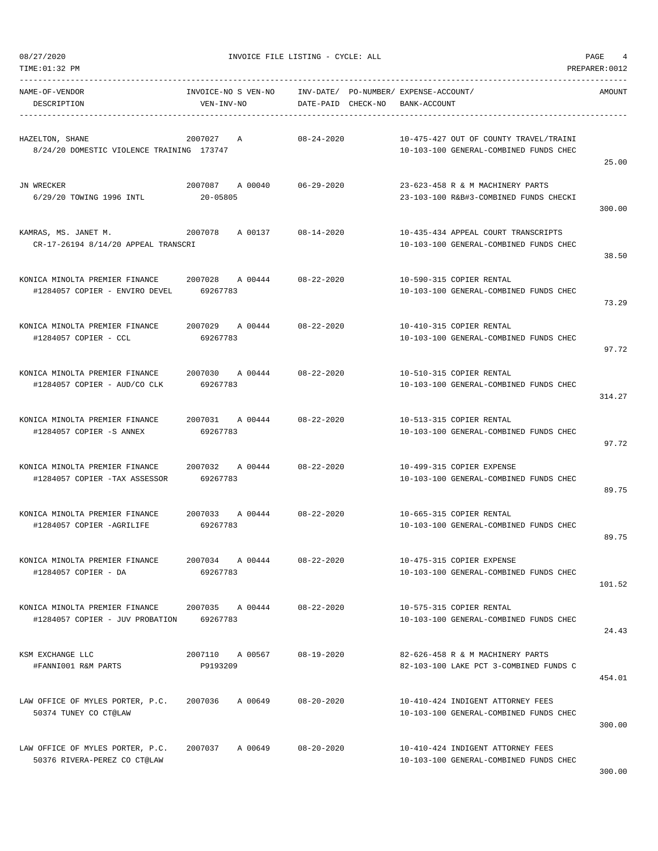TIME:01:32 PM PREPARER:0012

08/27/2020 INVOICE FILE LISTING - CYCLE: ALL PAGE 4

| NAME-OF-VENDOR<br>DESCRIPTION                                                                         | INVOICE-NO S VEN-NO INV-DATE/ PO-NUMBER/ EXPENSE-ACCOUNT/<br>VEN-INV-NO | DATE-PAID CHECK-NO BANK-ACCOUNT |                                                                                  | AMOUNT |
|-------------------------------------------------------------------------------------------------------|-------------------------------------------------------------------------|---------------------------------|----------------------------------------------------------------------------------|--------|
| HAZELTON, SHANE<br>8/24/20 DOMESTIC VIOLENCE TRAINING 173747                                          | 2007027 A                                                               | 08-24-2020                      | 10-475-427 OUT OF COUNTY TRAVEL/TRAINI<br>10-103-100 GENERAL-COMBINED FUNDS CHEC | 25.00  |
| JN WRECKER<br>6/29/20 TOWING 1996 INTL                                                                | 2007087 A 00040 06-29-2020<br>20-05805                                  |                                 | 23-623-458 R & M MACHINERY PARTS<br>23-103-100 R&B#3-COMBINED FUNDS CHECKI       | 300.00 |
| KAMRAS, MS. JANET M.<br>CR-17-26194 8/14/20 APPEAL TRANSCRI                                           | 2007078 A 00137 08-14-2020                                              |                                 | 10-435-434 APPEAL COURT TRANSCRIPTS<br>10-103-100 GENERAL-COMBINED FUNDS CHEC    | 38.50  |
| KONICA MINOLTA PREMIER FINANCE 2007028 A 00444 08-22-2020<br>#1284057 COPIER - ENVIRO DEVEL 69267783  |                                                                         |                                 | 10-590-315 COPIER RENTAL<br>10-103-100 GENERAL-COMBINED FUNDS CHEC               | 73.29  |
| KONICA MINOLTA PREMIER FINANCE 2007029 A 00444 08-22-2020<br>#1284057 COPIER - CCL                    | 69267783                                                                |                                 | 10-410-315 COPIER RENTAL<br>10-103-100 GENERAL-COMBINED FUNDS CHEC               | 97.72  |
| KONICA MINOLTA PREMIER FINANCE<br>#1284057 COPIER - AUD/CO CLK                                        | 2007030 A 00444 08-22-2020<br>69267783                                  |                                 | 10-510-315 COPIER RENTAL<br>10-103-100 GENERAL-COMBINED FUNDS CHEC               | 314.27 |
| KONICA MINOLTA PREMIER FINANCE<br>#1284057 COPIER -S ANNEX                                            | 2007031 A 00444 08-22-2020<br>69267783                                  |                                 | 10-513-315 COPIER RENTAL<br>10-103-100 GENERAL-COMBINED FUNDS CHEC               | 97.72  |
| #1284057 COPIER -TAX ASSESSOR                                                                         | 69267783                                                                |                                 | 10-499-315 COPIER EXPENSE<br>10-103-100 GENERAL-COMBINED FUNDS CHEC              | 89.75  |
| KONICA MINOLTA PREMIER FINANCE 2007033 A 00444 08-22-2020<br>#1284057 COPIER -AGRILIFE                | 69267783                                                                |                                 | 10-665-315 COPIER RENTAL<br>10-103-100 GENERAL-COMBINED FUNDS CHEC               | 89.75  |
| KONICA MINOLTA PREMIER FINANCE<br>#1284057 COPIER - DA                                                | 2007034 A 00444<br>69267783                                             | 08-22-2020                      | 10-475-315 COPIER EXPENSE<br>10-103-100 GENERAL-COMBINED FUNDS CHEC              | 101.52 |
| KONICA MINOLTA PREMIER FINANCE 2007035 A 00444 08-22-2020<br>#1284057 COPIER - JUV PROBATION 69267783 |                                                                         |                                 | 10-575-315 COPIER RENTAL<br>10-103-100 GENERAL-COMBINED FUNDS CHEC               | 24.43  |
| KSM EXCHANGE LLC<br>#FANNI001 R&M PARTS                                                               | 2007110 A 00567<br>P9193209                                             | $08 - 19 - 2020$                | 82-626-458 R & M MACHINERY PARTS<br>82-103-100 LAKE PCT 3-COMBINED FUNDS C       | 454.01 |
| LAW OFFICE OF MYLES PORTER, P.C. 2007036 A 00649<br>50374 TUNEY CO CT@LAW                             |                                                                         | 08-20-2020                      | 10-410-424 INDIGENT ATTORNEY FEES<br>10-103-100 GENERAL-COMBINED FUNDS CHEC      | 300.00 |
| LAW OFFICE OF MYLES PORTER, P.C. 2007037 A 00649 08-20-2020<br>50376 RIVERA-PEREZ CO CT@LAW           |                                                                         |                                 | 10-410-424 INDIGENT ATTORNEY FEES<br>10-103-100 GENERAL-COMBINED FUNDS CHEC      |        |

300.00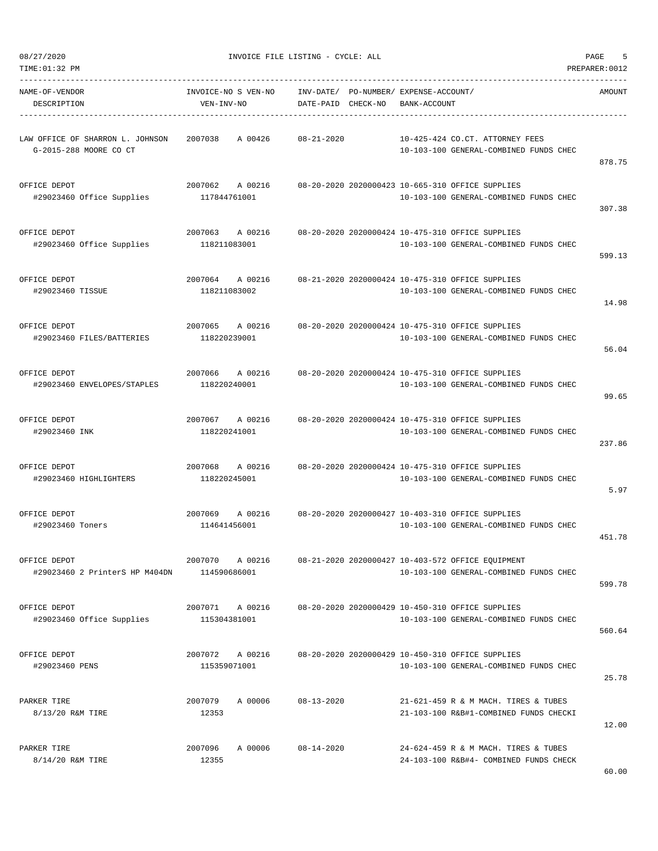DESCRIPTION VEN-INV-NO DATE-PAID CHECK-NO BANK-ACCOUNT

TIME:01:32 PM PREPARER:0012 ----------------------------------------------------------------------------------------------------------------------------------- NAME-OF-VENDOR INVOICE-NO S VEN-NO INV-DATE/ PO-NUMBER/ EXPENSE-ACCOUNT/ AMOUNT

-----------------------------------------------------------------------------------------------------------------------------------

| LAW OFFICE OF SHARRON L. JOHNSON            | 2007038<br>A 00426 | $08 - 21 - 2020$ | 10-425-424 CO.CT. ATTORNEY FEES                   |        |
|---------------------------------------------|--------------------|------------------|---------------------------------------------------|--------|
| G-2015-288 MOORE CO CT                      |                    |                  | 10-103-100 GENERAL-COMBINED FUNDS CHEC            | 878.75 |
| OFFICE DEPOT                                | 2007062<br>A 00216 |                  | 08-20-2020 2020000423 10-665-310 OFFICE SUPPLIES  |        |
| #29023460 Office Supplies                   | 117844761001       |                  | 10-103-100 GENERAL-COMBINED FUNDS CHEC            |        |
|                                             |                    |                  |                                                   | 307.38 |
| OFFICE DEPOT                                | 2007063<br>A 00216 |                  | 08-20-2020 2020000424 10-475-310 OFFICE SUPPLIES  |        |
| #29023460 Office Supplies                   | 118211083001       |                  | 10-103-100 GENERAL-COMBINED FUNDS CHEC            | 599.13 |
|                                             |                    |                  |                                                   |        |
| OFFICE DEPOT                                | 2007064<br>A 00216 |                  | 08-21-2020 2020000424 10-475-310 OFFICE SUPPLIES  |        |
| #29023460 TISSUE                            | 118211083002       |                  | 10-103-100 GENERAL-COMBINED FUNDS CHEC            | 14.98  |
|                                             |                    |                  |                                                   |        |
| OFFICE DEPOT                                | 2007065<br>A 00216 |                  | 08-20-2020 2020000424 10-475-310 OFFICE SUPPLIES  |        |
| #29023460 FILES/BATTERIES                   | 118220239001       |                  | 10-103-100 GENERAL-COMBINED FUNDS CHEC            | 56.04  |
|                                             |                    |                  |                                                   |        |
| OFFICE DEPOT                                | 2007066<br>A 00216 |                  | 08-20-2020 2020000424 10-475-310 OFFICE SUPPLIES  |        |
| #29023460 ENVELOPES/STAPLES                 | 118220240001       |                  | 10-103-100 GENERAL-COMBINED FUNDS CHEC            | 99.65  |
|                                             |                    |                  |                                                   |        |
| OFFICE DEPOT                                | 2007067<br>A 00216 |                  | 08-20-2020 2020000424 10-475-310 OFFICE SUPPLIES  |        |
| #29023460 INK                               | 118220241001       |                  | 10-103-100 GENERAL-COMBINED FUNDS CHEC            | 237.86 |
|                                             |                    |                  |                                                   |        |
| OFFICE DEPOT                                | 2007068<br>A 00216 |                  | 08-20-2020 2020000424 10-475-310 OFFICE SUPPLIES  |        |
| #29023460 HIGHLIGHTERS                      | 118220245001       |                  | 10-103-100 GENERAL-COMBINED FUNDS CHEC            | 5.97   |
|                                             |                    |                  |                                                   |        |
| OFFICE DEPOT                                | 2007069<br>A 00216 |                  | 08-20-2020 2020000427 10-403-310 OFFICE SUPPLIES  |        |
| #29023460 Toners                            | 114641456001       |                  | 10-103-100 GENERAL-COMBINED FUNDS CHEC            | 451.78 |
|                                             |                    |                  |                                                   |        |
| OFFICE DEPOT                                | 2007070<br>A 00216 |                  | 08-21-2020 2020000427 10-403-572 OFFICE EOUIPMENT |        |
| #29023460 2 PrinterS HP M404DN 114590686001 |                    |                  | 10-103-100 GENERAL-COMBINED FUNDS CHEC            | 599.78 |
|                                             |                    |                  |                                                   |        |

OFFICE DEPOT 2007071 A 00216 08-20-2020 2020000429 10-450-310 OFFICE SUPPLIES<br>2007071 15304381001 10-103-100 GENERAL-COMBINE #29023460 Office Supplies 115304381001 10-103-100 GENERAL-COMBINED FUNDS CHEC 560.64 OFFICE DEPOT 2007072 A 00216 08-20-2020 2020000429 10-450-310 OFFICE SUPPLIES #29023460 PENS 115359071001 10-103-100 GENERAL-COMBINED FUNDS CHEC 25.78

PARKER TIRE 2007079 A 00006 08-13-2020 21-621-459 R & M MACH. TIRES & TUBES 8/13/20 R&M TIRE 12353 12353 21-103-100 R&B#1-COMBINED FUNDS CHECKI 12.00 PARKER TIRE 2007096 A 00006 08-14-2020 24-624-459 R & M MACH. TIRES & TUBES 8/14/20 R&M TIRE 12355 12355 24-103-100 R&B#4- COMBINED FUNDS CHECK 60.00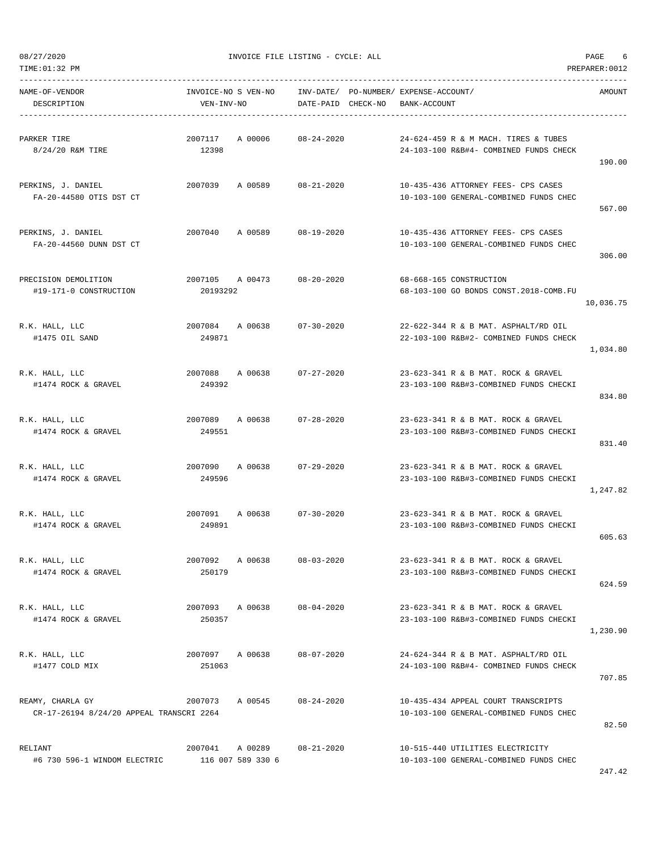TIME:01:32 PM PREPARER:0012

| NAME-OF-VENDOR<br>DESCRIPTION                                | INVOICE-NO S VEN-NO<br>VEN-INV-NO |                            | DATE-PAID CHECK-NO | INV-DATE/ PO-NUMBER/ EXPENSE-ACCOUNT/<br>BANK-ACCOUNT                          | AMOUNT    |
|--------------------------------------------------------------|-----------------------------------|----------------------------|--------------------|--------------------------------------------------------------------------------|-----------|
| PARKER TIRE<br>8/24/20 R&M TIRE                              | 2007117<br>12398                  | A 00006 08-24-2020         |                    | 24-624-459 R & M MACH. TIRES & TUBES<br>24-103-100 R&B#4- COMBINED FUNDS CHECK | 190.00    |
| PERKINS, J. DANIEL<br>FA-20-44580 OTIS DST CT                |                                   | 2007039 A 00589 08-21-2020 |                    | 10-435-436 ATTORNEY FEES- CPS CASES<br>10-103-100 GENERAL-COMBINED FUNDS CHEC  | 567.00    |
| PERKINS, J. DANIEL<br>FA-20-44560 DUNN DST CT                |                                   | 2007040 A 00589 08-19-2020 |                    | 10-435-436 ATTORNEY FEES- CPS CASES<br>10-103-100 GENERAL-COMBINED FUNDS CHEC  | 306.00    |
| PRECISION DEMOLITION<br>#19-171-0 CONSTRUCTION               | 20193292                          | 2007105 A 00473            | 08-20-2020         | 68-668-165 CONSTRUCTION<br>68-103-100 GO BONDS CONST.2018-COMB.FU              | 10,036.75 |
| R.K. HALL, LLC<br>#1475 OIL SAND                             | 249871                            | 2007084 A 00638 07-30-2020 |                    | 22-622-344 R & B MAT. ASPHALT/RD OIL<br>22-103-100 R&B#2- COMBINED FUNDS CHECK | 1,034.80  |
| R.K. HALL, LLC<br>#1474 ROCK & GRAVEL                        | 249392                            | 2007088 A 00638 07-27-2020 |                    | 23-623-341 R & B MAT. ROCK & GRAVEL<br>23-103-100 R&B#3-COMBINED FUNDS CHECKI  | 834.80    |
| R.K. HALL, LLC<br>#1474 ROCK & GRAVEL                        | 249551                            | 2007089 A 00638 07-28-2020 |                    | 23-623-341 R & B MAT. ROCK & GRAVEL<br>23-103-100 R&B#3-COMBINED FUNDS CHECKI  | 831.40    |
| R.K. HALL, LLC<br>#1474 ROCK & GRAVEL                        | 2007090 A 00638<br>249596         |                            | $07 - 29 - 2020$   | 23-623-341 R & B MAT. ROCK & GRAVEL<br>23-103-100 R&B#3-COMBINED FUNDS CHECKI  | 1,247.82  |
| R.K. HALL, LLC<br>#1474 ROCK & GRAVEL                        | 249891                            | 2007091 A 00638 07-30-2020 |                    | 23-623-341 R & B MAT. ROCK & GRAVEL<br>23-103-100 R&B#3-COMBINED FUNDS CHECKI  | 605.63    |
| R.K. HALL, LLC<br>#1474 ROCK & GRAVEL                        | 2007092<br>250179                 | A 00638                    | $08 - 03 - 2020$   | 23-623-341 R & B MAT. ROCK & GRAVEL<br>23-103-100 R&B#3-COMBINED FUNDS CHECKI  | 624.59    |
| R.K. HALL, LLC<br>#1474 ROCK & GRAVEL                        | 2007093 A 00638<br>250357         |                            | 08-04-2020         | 23-623-341 R & B MAT. ROCK & GRAVEL<br>23-103-100 R&B#3-COMBINED FUNDS CHECKI  | 1,230.90  |
| R.K. HALL, LLC<br>#1477 COLD MIX                             | 2007097 A 00638<br>251063         |                            | 08-07-2020         | 24-624-344 R & B MAT. ASPHALT/RD OIL<br>24-103-100 R&B#4- COMBINED FUNDS CHECK | 707.85    |
| REAMY, CHARLA GY<br>CR-17-26194 8/24/20 APPEAL TRANSCRI 2264 | 2007073                           | A 00545                    | $08 - 24 - 2020$   | 10-435-434 APPEAL COURT TRANSCRIPTS<br>10-103-100 GENERAL-COMBINED FUNDS CHEC  | 82.50     |
| RELIANT<br>#6 730 596-1 WINDOM ELECTRIC                      | 116 007 589 330 6                 | 2007041 A 00289 08-21-2020 |                    | 10-515-440 UTILITIES ELECTRICITY<br>10-103-100 GENERAL-COMBINED FUNDS CHEC     | 247.42    |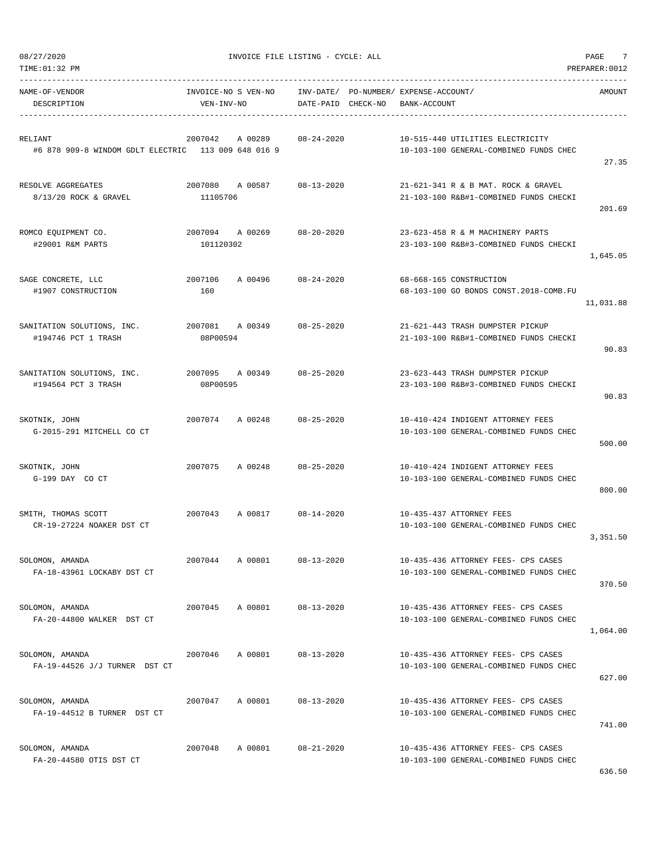| NAME-OF-VENDOR                                                 |                                        | INVOICE-NO S VEN-NO INV-DATE/ PO-NUMBER/ EXPENSE-ACCOUNT/ |                                                                               | AMOUNT    |
|----------------------------------------------------------------|----------------------------------------|-----------------------------------------------------------|-------------------------------------------------------------------------------|-----------|
| DESCRIPTION                                                    | VEN-INV-NO                             | DATE-PAID CHECK-NO                                        | BANK-ACCOUNT                                                                  |           |
| RELIANT<br>#6 878 909-8 WINDOM GDLT ELECTRIC 113 009 648 016 9 | 2007042 A 00289                        | $08 - 24 - 2020$                                          | 10-515-440 UTILITIES ELECTRICITY<br>10-103-100 GENERAL-COMBINED FUNDS CHEC    | 27.35     |
| RESOLVE AGGREGATES<br>8/13/20 ROCK & GRAVEL                    | 2007080 A 00587<br>11105706            | 08-13-2020                                                | 21-621-341 R & B MAT. ROCK & GRAVEL<br>21-103-100 R&B#1-COMBINED FUNDS CHECKI | 201.69    |
| ROMCO EQUIPMENT CO.<br>#29001 R&M PARTS                        | 101120302                              | 2007094 A 00269 08-20-2020                                | 23-623-458 R & M MACHINERY PARTS<br>23-103-100 R&B#3-COMBINED FUNDS CHECKI    | 1,645.05  |
| SAGE CONCRETE, LLC<br>#1907 CONSTRUCTION                       | 2007106<br>160                         | A 00496 08-24-2020                                        | 68-668-165 CONSTRUCTION<br>68-103-100 GO BONDS CONST.2018-COMB.FU             | 11,031.88 |
| SANITATION SOLUTIONS, INC.<br>#194746 PCT 1 TRASH              | 2007081 A 00349 08-25-2020<br>08P00594 |                                                           | 21-621-443 TRASH DUMPSTER PICKUP<br>21-103-100 R&B#1-COMBINED FUNDS CHECKI    | 90.83     |
| SANITATION SOLUTIONS, INC.<br>#194564 PCT 3 TRASH              | 2007095 A 00349 08-25-2020<br>08P00595 |                                                           | 23-623-443 TRASH DUMPSTER PICKUP<br>23-103-100 R&B#3-COMBINED FUNDS CHECKI    | 90.83     |
| SKOTNIK, JOHN<br>G-2015-291 MITCHELL CO CT                     | 2007074 A 00248 08-25-2020             |                                                           | 10-410-424 INDIGENT ATTORNEY FEES<br>10-103-100 GENERAL-COMBINED FUNDS CHEC   | 500.00    |
| SKOTNIK, JOHN<br>G-199 DAY CO CT                               | 2007075<br>A 00248                     | $08 - 25 - 2020$                                          | 10-410-424 INDIGENT ATTORNEY FEES<br>10-103-100 GENERAL-COMBINED FUNDS CHEC   | 800.00    |
| SMITH, THOMAS SCOTT<br>CR-19-27224 NOAKER DST CT               |                                        | 2007043 A 00817 08-14-2020                                | 10-435-437 ATTORNEY FEES<br>10-103-100 GENERAL-COMBINED FUNDS CHEC            | 3,351.50  |
| SOLOMON, AMANDA<br>FA-18-43961 LOCKABY DST CT                  | 2007044 A 00801                        | $08 - 13 - 2020$                                          | 10-435-436 ATTORNEY FEES- CPS CASES<br>10-103-100 GENERAL-COMBINED FUNDS CHEC | 370.50    |
| SOLOMON, AMANDA<br>FA-20-44800 WALKER DST CT                   | 2007045                                | A 00801 08-13-2020                                        | 10-435-436 ATTORNEY FEES- CPS CASES<br>10-103-100 GENERAL-COMBINED FUNDS CHEC | 1,064.00  |
| SOLOMON, AMANDA<br>FA-19-44526 J/J TURNER DST CT               | 2007046<br>A 00801                     | $08 - 13 - 2020$                                          | 10-435-436 ATTORNEY FEES- CPS CASES<br>10-103-100 GENERAL-COMBINED FUNDS CHEC | 627.00    |
| SOLOMON, AMANDA<br>FA-19-44512 B TURNER DST CT                 | 2007047<br>A 00801                     | $08 - 13 - 2020$                                          | 10-435-436 ATTORNEY FEES- CPS CASES<br>10-103-100 GENERAL-COMBINED FUNDS CHEC | 741.00    |
| SOLOMON, AMANDA<br>FA-20-44580 OTIS DST CT                     | 2007048                                | A 00801 08-21-2020                                        | 10-435-436 ATTORNEY FEES- CPS CASES<br>10-103-100 GENERAL-COMBINED FUNDS CHEC | 636.50    |

TIME:01:32 PM PREPARER:0012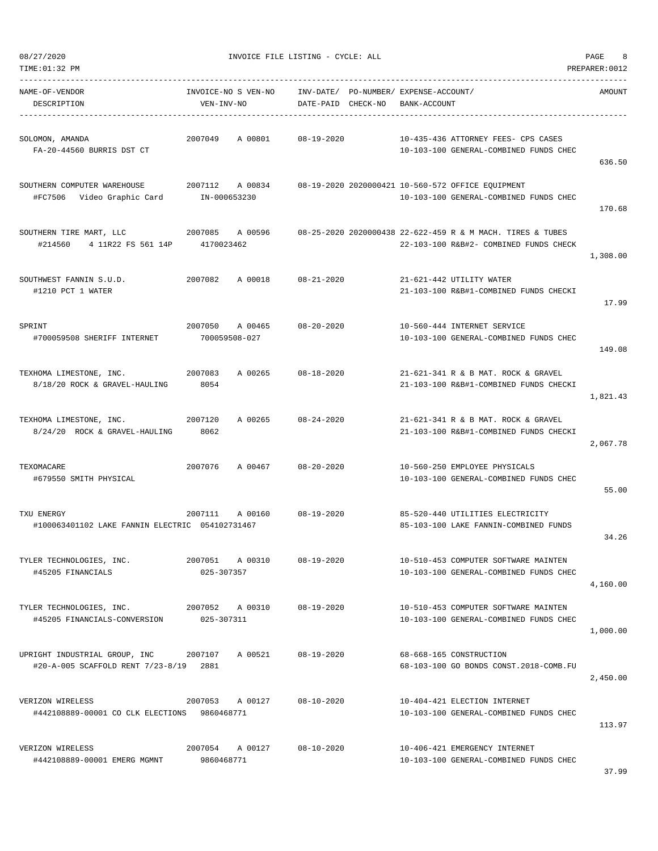| TIME:01:32 PM                                                           |                                     |                    |                                                                                                      | PREPARER: 0012 |
|-------------------------------------------------------------------------|-------------------------------------|--------------------|------------------------------------------------------------------------------------------------------|----------------|
| NAME-OF-VENDOR<br>DESCRIPTION                                           | INVOICE-NO S VEN-NO<br>VEN-INV-NO   | DATE-PAID CHECK-NO | INV-DATE/ PO-NUMBER/ EXPENSE-ACCOUNT/<br>BANK-ACCOUNT                                                | AMOUNT         |
| SOLOMON, AMANDA<br>FA-20-44560 BURRIS DST CT                            | 2007049<br>A 00801                  | $08 - 19 - 2020$   | 10-435-436 ATTORNEY FEES- CPS CASES<br>10-103-100 GENERAL-COMBINED FUNDS CHEC                        | 636.50         |
| SOUTHERN COMPUTER WAREHOUSE<br>#FC7506 Video Graphic Card IN-000653230  | 2007112 A 00834                     |                    | 08-19-2020 2020000421 10-560-572 OFFICE EOUIPMENT<br>10-103-100 GENERAL-COMBINED FUNDS CHEC          | 170.68         |
| SOUTHERN TIRE MART, LLC<br>#214560 4 11R22 FS 561 14P 4170023462        | 2007085 A 00596                     |                    | 08-25-2020 2020000438 22-622-459 R & M MACH. TIRES & TUBES<br>22-103-100 R&B#2- COMBINED FUNDS CHECK | 1,308.00       |
| SOUTHWEST FANNIN S.U.D.<br>#1210 PCT 1 WATER                            | 2007082<br>A 00018                  | 08-21-2020         | 21-621-442 UTILITY WATER<br>21-103-100 R&B#1-COMBINED FUNDS CHECKI                                   | 17.99          |
| SPRINT<br>#700059508 SHERIFF INTERNET                                   | 2007050<br>A 00465<br>700059508-027 | $08 - 20 - 2020$   | 10-560-444 INTERNET SERVICE<br>10-103-100 GENERAL-COMBINED FUNDS CHEC                                | 149.08         |
| TEXHOMA LIMESTONE, INC.<br>8/18/20 ROCK & GRAVEL-HAULING                | 2007083<br>A 00265<br>8054          | $08 - 18 - 2020$   | 21-621-341 R & B MAT. ROCK & GRAVEL<br>21-103-100 R&B#1-COMBINED FUNDS CHECKI                        | 1,821.43       |
| TEXHOMA LIMESTONE, INC.<br>8/24/20 ROCK & GRAVEL-HAULING                | 2007120<br>A 00265<br>8062          | $08 - 24 - 2020$   | 21-621-341 R & B MAT. ROCK & GRAVEL<br>21-103-100 R&B#1-COMBINED FUNDS CHECKI                        | 2,067.78       |
| TEXOMACARE<br>#679550 SMITH PHYSICAL                                    | 2007076<br>A 00467                  | $08 - 20 - 2020$   | 10-560-250 EMPLOYEE PHYSICALS<br>10-103-100 GENERAL-COMBINED FUNDS CHEC                              | 55.00          |
| TXU ENERGY<br>#100063401102 LAKE FANNIN ELECTRIC 054102731467           | 2007111<br>A 00160                  | $08 - 19 - 2020$   | 85-520-440 UTILITIES ELECTRICITY<br>85-103-100 LAKE FANNIN-COMBINED FUNDS                            | 34.26          |
| TYLER TECHNOLOGIES, INC.<br>#45205 FINANCIALS                           | 2007051 A 00310<br>025-307357       | $08 - 19 - 2020$   | 10-510-453 COMPUTER SOFTWARE MAINTEN<br>10-103-100 GENERAL-COMBINED FUNDS CHEC                       | 4,160.00       |
| TYLER TECHNOLOGIES, INC.<br>#45205 FINANCIALS-CONVERSION                | 2007052 A 00310<br>025-307311       | 08-19-2020         | 10-510-453 COMPUTER SOFTWARE MAINTEN<br>10-103-100 GENERAL-COMBINED FUNDS CHEC                       | 1,000.00       |
| UPRIGHT INDUSTRIAL GROUP, INC<br>#20-A-005 SCAFFOLD RENT 7/23-8/19 2881 | 2007107<br>A 00521                  | $08 - 19 - 2020$   | 68-668-165 CONSTRUCTION<br>68-103-100 GO BONDS CONST.2018-COMB.FU                                    | 2,450.00       |
| VERIZON WIRELESS<br>#442108889-00001 CO CLK ELECTIONS 9860468771        | 2007053<br>A 00127                  | $08 - 10 - 2020$   | 10-404-421 ELECTION INTERNET<br>10-103-100 GENERAL-COMBINED FUNDS CHEC                               | 113.97         |
| VERIZON WIRELESS<br>#442108889-00001 EMERG MGMNT                        | 2007054 A 00127<br>9860468771       | $08 - 10 - 2020$   | 10-406-421 EMERGENCY INTERNET<br>10-103-100 GENERAL-COMBINED FUNDS CHEC                              |                |

37.99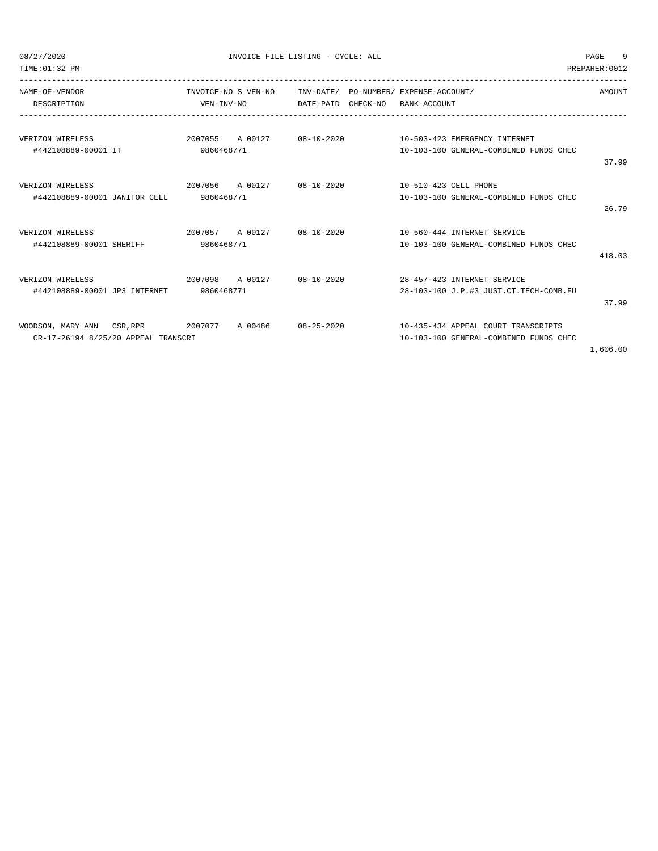| TIME: 01:32 PM                                                       |                               |                                                           |            |                                 |                                                                               | PREPARER: 0012 |
|----------------------------------------------------------------------|-------------------------------|-----------------------------------------------------------|------------|---------------------------------|-------------------------------------------------------------------------------|----------------|
| NAME-OF-VENDOR<br>DESCRIPTION                                        | VEN-INV-NO                    | INVOICE-NO S VEN-NO INV-DATE/ PO-NUMBER/ EXPENSE-ACCOUNT/ |            | DATE-PAID CHECK-NO BANK-ACCOUNT |                                                                               | AMOUNT         |
| VERIZON WIRELESS<br>#442108889-00001 IT                              | 2007055 A 00127<br>9860468771 |                                                           |            |                                 | 10-103-100 GENERAL-COMBINED FUNDS CHEC                                        |                |
|                                                                      |                               |                                                           |            |                                 |                                                                               | 37.99          |
| VERIZON WIRELESS<br>#442108889-00001 JANITOR CELL                    | 9860468771                    | 2007056 A 00127 08-10-2020                                |            | 10-510-423 CELL PHONE           | 10-103-100 GENERAL-COMBINED FUNDS CHEC                                        | 26.79          |
| VERIZON WIRELESS<br>#442108889-00001 SHERIFF                         | 9860468771                    | 2007057 A 00127 08-10-2020                                |            |                                 | 10-560-444 INTERNET SERVICE<br>10-103-100 GENERAL-COMBINED FUNDS CHEC         | 418.03         |
| 2007098 A 00127<br>VERIZON WIRELESS<br>#442108889-00001 JP3 INTERNET | 9860468771                    |                                                           | 08-10-2020 |                                 | 28-457-423 INTERNET SERVICE<br>28-103-100 J.P.#3 JUST.CT.TECH-COMB.FU         | 37.99          |
| WOODSON, MARY ANN CSR, RPR<br>CR-17-26194 8/25/20 APPEAL TRANSCRI    | 2007077 A 00486               |                                                           | 08-25-2020 |                                 | 10-435-434 APPEAL COURT TRANSCRIPTS<br>10-103-100 GENERAL-COMBINED FUNDS CHEC |                |

1,606.00